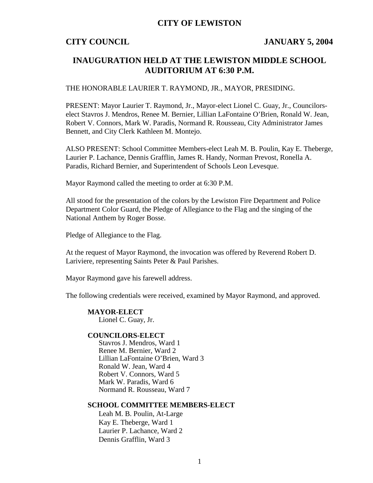## **CITY OF LEWISTON**

## **CITY COUNCIL JANUARY 5, 2004**

## **INAUGURATION HELD AT THE LEWISTON MIDDLE SCHOOL AUDITORIUM AT 6:30 P.M.**

### THE HONORABLE LAURIER T. RAYMOND, JR., MAYOR, PRESIDING.

PRESENT: Mayor Laurier T. Raymond, Jr., Mayor-elect Lionel C. Guay, Jr., Councilorselect Stavros J. Mendros, Renee M. Bernier, Lillian LaFontaine O'Brien, Ronald W. Jean, Robert V. Connors, Mark W. Paradis, Normand R. Rousseau, City Administrator James Bennett, and City Clerk Kathleen M. Montejo.

ALSO PRESENT: School Committee Members-elect Leah M. B. Poulin, Kay E. Theberge, Laurier P. Lachance, Dennis Grafflin, James R. Handy, Norman Prevost, Ronella A. Paradis, Richard Bernier, and Superintendent of Schools Leon Levesque.

Mayor Raymond called the meeting to order at 6:30 P.M.

All stood for the presentation of the colors by the Lewiston Fire Department and Police Department Color Guard, the Pledge of Allegiance to the Flag and the singing of the National Anthem by Roger Bosse.

Pledge of Allegiance to the Flag.

At the request of Mayor Raymond, the invocation was offered by Reverend Robert D. Lariviere, representing Saints Peter & Paul Parishes.

Mayor Raymond gave his farewell address.

The following credentials were received, examined by Mayor Raymond, and approved.

### **MAYOR-ELECT**

Lionel C. Guay, Jr.

### **COUNCILORS-ELECT**

Stavros J. Mendros, Ward 1 Renee M. Bernier, Ward 2 Lillian LaFontaine O'Brien, Ward 3 Ronald W. Jean, Ward 4 Robert V. Connors, Ward 5 Mark W. Paradis, Ward 6 Normand R. Rousseau, Ward 7

### **SCHOOL COMMITTEE MEMBERS-ELECT**

Leah M. B. Poulin, At-Large Kay E. Theberge, Ward 1 Laurier P. Lachance, Ward 2 Dennis Grafflin, Ward 3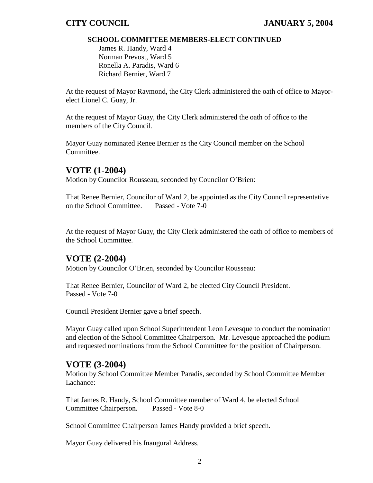## **SCHOOL COMMITTEE MEMBERS-ELECT CONTINUED**

James R. Handy, Ward 4 Norman Prevost, Ward 5 Ronella A. Paradis, Ward 6 Richard Bernier, Ward 7

At the request of Mayor Raymond, the City Clerk administered the oath of office to Mayorelect Lionel C. Guay, Jr.

At the request of Mayor Guay, the City Clerk administered the oath of office to the members of the City Council.

Mayor Guay nominated Renee Bernier as the City Council member on the School Committee.

# **VOTE (1-2004)**

Motion by Councilor Rousseau, seconded by Councilor O'Brien:

That Renee Bernier, Councilor of Ward 2, be appointed as the City Council representative on the School Committee. Passed - Vote 7-0

At the request of Mayor Guay, the City Clerk administered the oath of office to members of the School Committee.

# **VOTE (2-2004)**

Motion by Councilor O'Brien, seconded by Councilor Rousseau:

That Renee Bernier, Councilor of Ward 2, be elected City Council President. Passed - Vote 7-0

Council President Bernier gave a brief speech.

Mayor Guay called upon School Superintendent Leon Levesque to conduct the nomination and election of the School Committee Chairperson. Mr. Levesque approached the podium and requested nominations from the School Committee for the position of Chairperson.

# **VOTE (3-2004)**

Motion by School Committee Member Paradis, seconded by School Committee Member Lachance:

That James R. Handy, School Committee member of Ward 4, be elected School Committee Chairperson. Passed - Vote 8-0

School Committee Chairperson James Handy provided a brief speech.

Mayor Guay delivered his Inaugural Address.